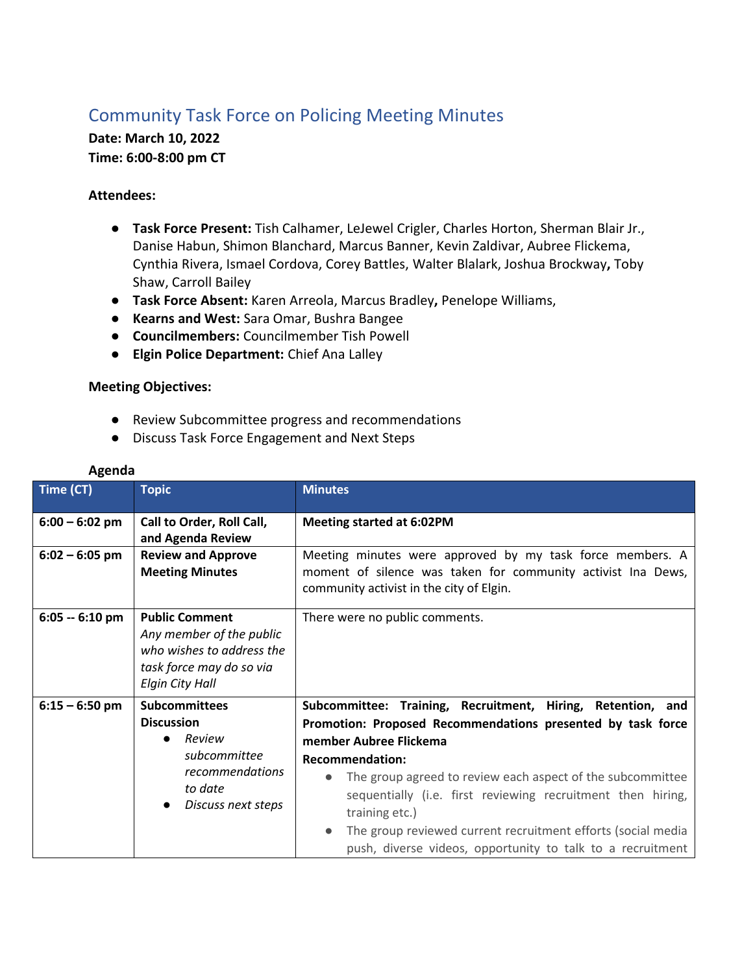## Community Task Force on Policing Meeting Minutes

**Date: March 10, 2022 Time: 6:00-8:00 pm CT**

## **Attendees:**

- **Task Force Present:** Tish Calhamer, LeJewel Crigler, Charles Horton, Sherman Blair Jr., Danise Habun, Shimon Blanchard, Marcus Banner, Kevin Zaldivar, Aubree Flickema, Cynthia Rivera, Ismael Cordova, Corey Battles, Walter Blalark, Joshua Brockway**,** Toby Shaw, Carroll Bailey
- **Task Force Absent:** Karen Arreola, Marcus Bradley**,** Penelope Williams,
- **Kearns and West:** Sara Omar, Bushra Bangee
- **Councilmembers:** Councilmember Tish Powell
- **Elgin Police Department:** Chief Ana Lalley

## **Meeting Objectives:**

- Review Subcommittee progress and recommendations
- Discuss Task Force Engagement and Next Steps

| Time (CT)        | <b>Topic</b>                                                                                                                         | <b>Minutes</b>                                                                                                                                                                                                                                                                                                                                                                                                                                                           |
|------------------|--------------------------------------------------------------------------------------------------------------------------------------|--------------------------------------------------------------------------------------------------------------------------------------------------------------------------------------------------------------------------------------------------------------------------------------------------------------------------------------------------------------------------------------------------------------------------------------------------------------------------|
| $6:00 - 6:02$ pm | Call to Order, Roll Call,<br>and Agenda Review                                                                                       | <b>Meeting started at 6:02PM</b>                                                                                                                                                                                                                                                                                                                                                                                                                                         |
| $6:02 - 6:05$ pm | <b>Review and Approve</b><br><b>Meeting Minutes</b>                                                                                  | Meeting minutes were approved by my task force members. A<br>moment of silence was taken for community activist Ina Dews,<br>community activist in the city of Elgin.                                                                                                                                                                                                                                                                                                    |
| $6:05 - 6:10$ pm | <b>Public Comment</b><br>Any member of the public<br>who wishes to address the<br>task force may do so via<br><b>Elgin City Hall</b> | There were no public comments.                                                                                                                                                                                                                                                                                                                                                                                                                                           |
| $6:15 - 6:50$ pm | <b>Subcommittees</b><br><b>Discussion</b><br>Review<br>subcommittee<br>recommendations<br>to date<br>Discuss next steps              | Subcommittee: Training, Recruitment, Hiring, Retention, and<br>Promotion: Proposed Recommendations presented by task force<br>member Aubree Flickema<br><b>Recommendation:</b><br>The group agreed to review each aspect of the subcommittee<br>$\bullet$<br>sequentially (i.e. first reviewing recruitment then hiring,<br>training etc.)<br>The group reviewed current recruitment efforts (social media<br>push, diverse videos, opportunity to talk to a recruitment |

## **Agenda**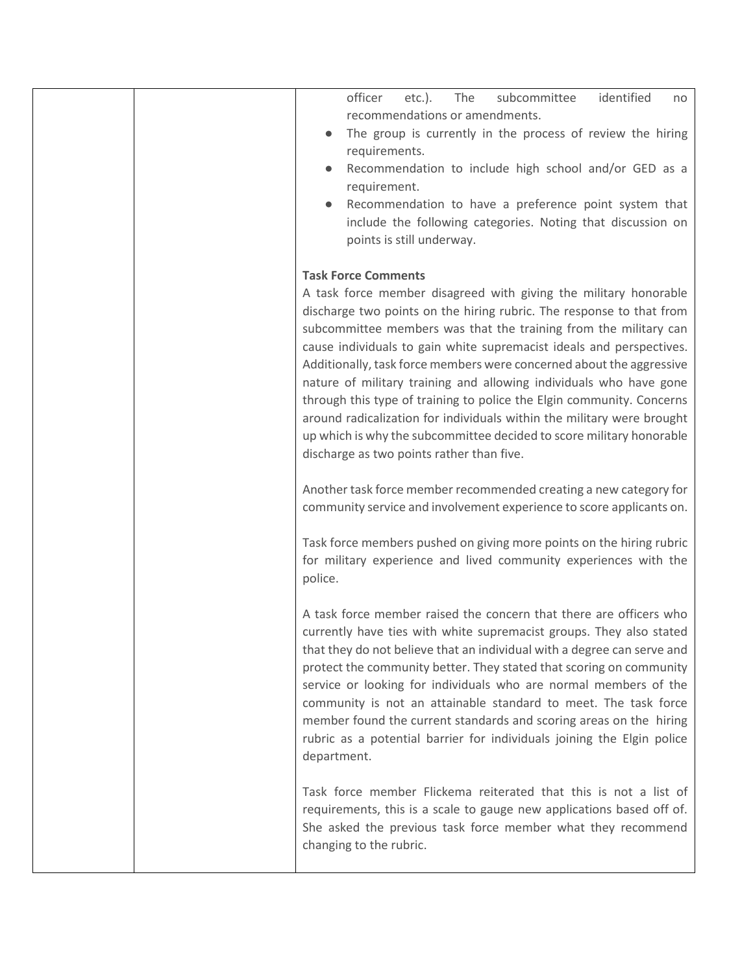| subcommittee<br>identified<br>officer<br>$etc.$ ).<br>The<br>no<br>recommendations or amendments.<br>The group is currently in the process of review the hiring<br>requirements.<br>Recommendation to include high school and/or GED as a<br>requirement.<br>Recommendation to have a preference point system that<br>include the following categories. Noting that discussion on<br>points is still underway.                                                                                                                                                                                                                                                                                                                           |
|------------------------------------------------------------------------------------------------------------------------------------------------------------------------------------------------------------------------------------------------------------------------------------------------------------------------------------------------------------------------------------------------------------------------------------------------------------------------------------------------------------------------------------------------------------------------------------------------------------------------------------------------------------------------------------------------------------------------------------------|
| <b>Task Force Comments</b><br>A task force member disagreed with giving the military honorable<br>discharge two points on the hiring rubric. The response to that from<br>subcommittee members was that the training from the military can<br>cause individuals to gain white supremacist ideals and perspectives.<br>Additionally, task force members were concerned about the aggressive<br>nature of military training and allowing individuals who have gone<br>through this type of training to police the Elgin community. Concerns<br>around radicalization for individuals within the military were brought<br>up which is why the subcommittee decided to score military honorable<br>discharge as two points rather than five. |
| Another task force member recommended creating a new category for<br>community service and involvement experience to score applicants on.                                                                                                                                                                                                                                                                                                                                                                                                                                                                                                                                                                                                |
| Task force members pushed on giving more points on the hiring rubric<br>for military experience and lived community experiences with the<br>police.                                                                                                                                                                                                                                                                                                                                                                                                                                                                                                                                                                                      |
| A task force member raised the concern that there are officers who<br>currently have ties with white supremacist groups. They also stated<br>that they do not believe that an individual with a degree can serve and<br>protect the community better. They stated that scoring on community<br>service or looking for individuals who are normal members of the<br>community is not an attainable standard to meet. The task force<br>member found the current standards and scoring areas on the hiring<br>rubric as a potential barrier for individuals joining the Elgin police<br>department.                                                                                                                                        |
| Task force member Flickema reiterated that this is not a list of<br>requirements, this is a scale to gauge new applications based off of.<br>She asked the previous task force member what they recommend<br>changing to the rubric.                                                                                                                                                                                                                                                                                                                                                                                                                                                                                                     |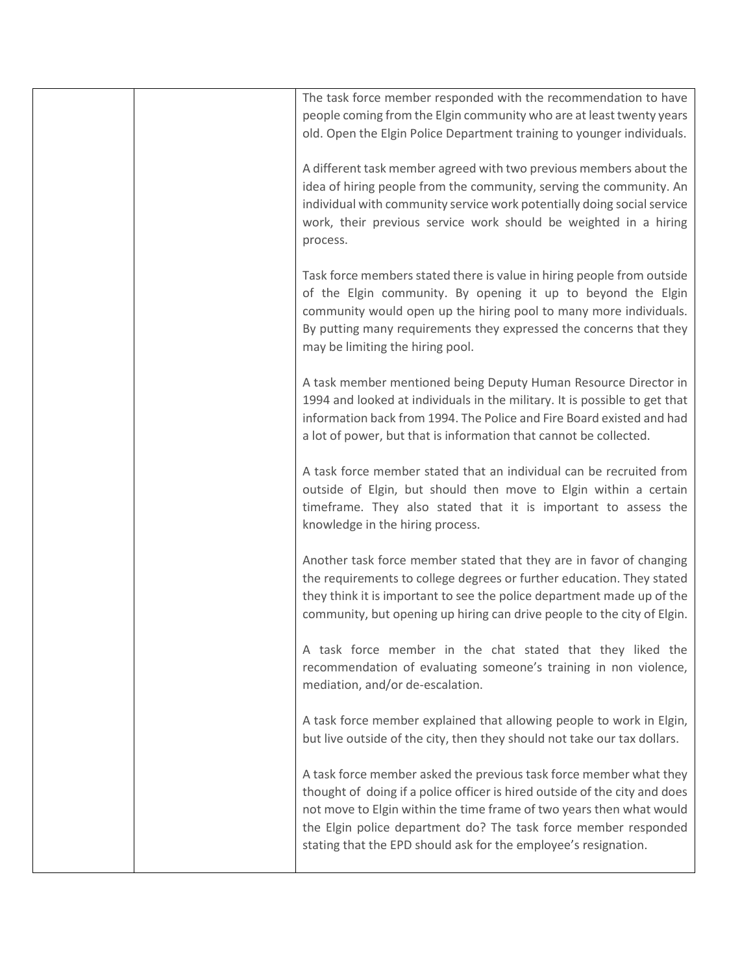|  | The task force member responded with the recommendation to have<br>people coming from the Elgin community who are at least twenty years<br>old. Open the Elgin Police Department training to younger individuals.                                                                                                                                              |
|--|----------------------------------------------------------------------------------------------------------------------------------------------------------------------------------------------------------------------------------------------------------------------------------------------------------------------------------------------------------------|
|  | A different task member agreed with two previous members about the<br>idea of hiring people from the community, serving the community. An<br>individual with community service work potentially doing social service<br>work, their previous service work should be weighted in a hiring<br>process.                                                           |
|  | Task force members stated there is value in hiring people from outside<br>of the Elgin community. By opening it up to beyond the Elgin<br>community would open up the hiring pool to many more individuals.<br>By putting many requirements they expressed the concerns that they<br>may be limiting the hiring pool.                                          |
|  | A task member mentioned being Deputy Human Resource Director in<br>1994 and looked at individuals in the military. It is possible to get that<br>information back from 1994. The Police and Fire Board existed and had<br>a lot of power, but that is information that cannot be collected.                                                                    |
|  | A task force member stated that an individual can be recruited from<br>outside of Elgin, but should then move to Elgin within a certain<br>timeframe. They also stated that it is important to assess the<br>knowledge in the hiring process.                                                                                                                  |
|  | Another task force member stated that they are in favor of changing<br>the requirements to college degrees or further education. They stated<br>they think it is important to see the police department made up of the<br>community, but opening up hiring can drive people to the city of Elgin.                                                              |
|  | A task force member in the chat stated that they liked the<br>recommendation of evaluating someone's training in non violence,<br>mediation, and/or de-escalation.                                                                                                                                                                                             |
|  | A task force member explained that allowing people to work in Elgin,<br>but live outside of the city, then they should not take our tax dollars.                                                                                                                                                                                                               |
|  | A task force member asked the previous task force member what they<br>thought of doing if a police officer is hired outside of the city and does<br>not move to Elgin within the time frame of two years then what would<br>the Elgin police department do? The task force member responded<br>stating that the EPD should ask for the employee's resignation. |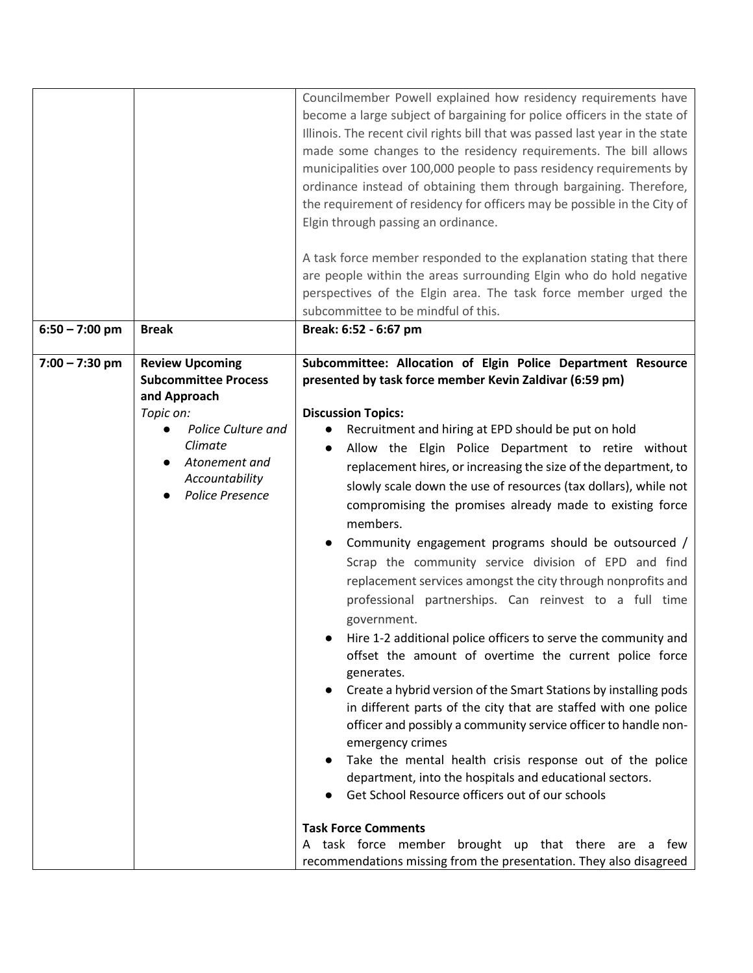|                  |                                                                                                                                                                                  | Councilmember Powell explained how residency requirements have<br>become a large subject of bargaining for police officers in the state of<br>Illinois. The recent civil rights bill that was passed last year in the state<br>made some changes to the residency requirements. The bill allows<br>municipalities over 100,000 people to pass residency requirements by<br>ordinance instead of obtaining them through bargaining. Therefore,<br>the requirement of residency for officers may be possible in the City of<br>Elgin through passing an ordinance.<br>A task force member responded to the explanation stating that there<br>are people within the areas surrounding Elgin who do hold negative<br>perspectives of the Elgin area. The task force member urged the<br>subcommittee to be mindful of this.                                                                                                                                                                                                                                                                                                                                                                                                                                                                                                                                                                                                                                   |
|------------------|----------------------------------------------------------------------------------------------------------------------------------------------------------------------------------|-----------------------------------------------------------------------------------------------------------------------------------------------------------------------------------------------------------------------------------------------------------------------------------------------------------------------------------------------------------------------------------------------------------------------------------------------------------------------------------------------------------------------------------------------------------------------------------------------------------------------------------------------------------------------------------------------------------------------------------------------------------------------------------------------------------------------------------------------------------------------------------------------------------------------------------------------------------------------------------------------------------------------------------------------------------------------------------------------------------------------------------------------------------------------------------------------------------------------------------------------------------------------------------------------------------------------------------------------------------------------------------------------------------------------------------------------------------|
| $6:50 - 7:00$ pm | <b>Break</b>                                                                                                                                                                     | Break: 6:52 - 6:67 pm                                                                                                                                                                                                                                                                                                                                                                                                                                                                                                                                                                                                                                                                                                                                                                                                                                                                                                                                                                                                                                                                                                                                                                                                                                                                                                                                                                                                                                     |
| $7:00 - 7:30$ pm | <b>Review Upcoming</b><br><b>Subcommittee Process</b><br>and Approach<br>Topic on:<br>Police Culture and<br>Climate<br>Atonement and<br>Accountability<br><b>Police Presence</b> | Subcommittee: Allocation of Elgin Police Department Resource<br>presented by task force member Kevin Zaldivar (6:59 pm)<br><b>Discussion Topics:</b><br>Recruitment and hiring at EPD should be put on hold<br>Allow the Elgin Police Department to retire without<br>replacement hires, or increasing the size of the department, to<br>slowly scale down the use of resources (tax dollars), while not<br>compromising the promises already made to existing force<br>members.<br>Community engagement programs should be outsourced /<br>Scrap the community service division of EPD and find<br>replacement services amongst the city through nonprofits and<br>professional partnerships. Can reinvest to a full time<br>government.<br>Hire 1-2 additional police officers to serve the community and<br>offset the amount of overtime the current police force<br>generates.<br>Create a hybrid version of the Smart Stations by installing pods<br>in different parts of the city that are staffed with one police<br>officer and possibly a community service officer to handle non-<br>emergency crimes<br>Take the mental health crisis response out of the police<br>department, into the hospitals and educational sectors.<br>Get School Resource officers out of our schools<br><b>Task Force Comments</b><br>A task force member brought up that there are a<br>few<br>recommendations missing from the presentation. They also disagreed |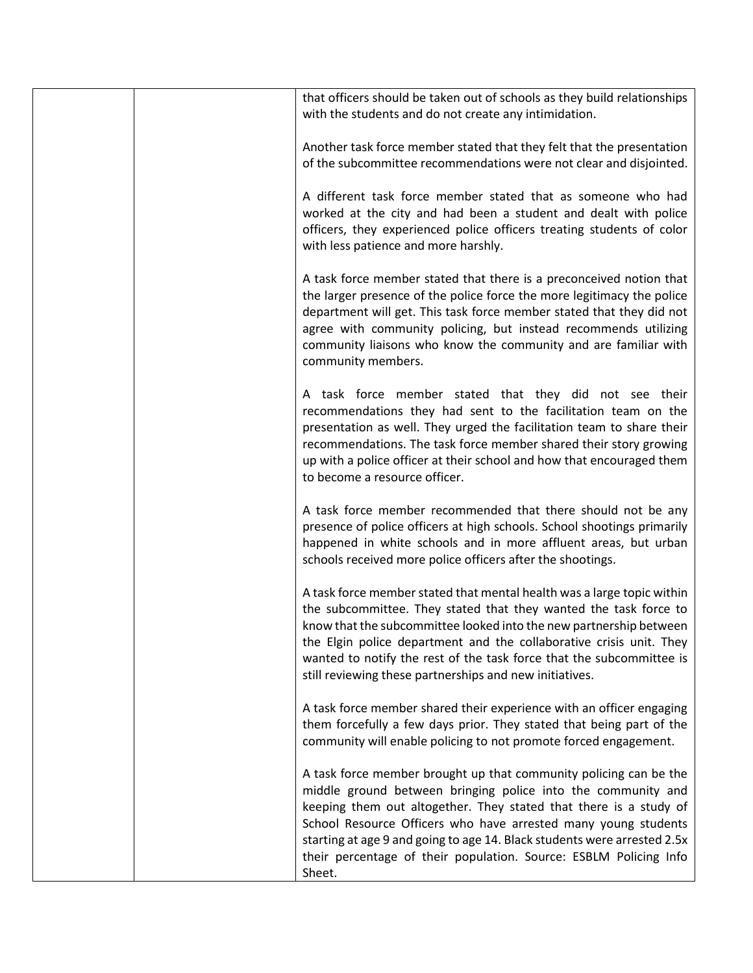| that officers should be taken out of schools as they build relationships<br>with the students and do not create any intimidation.                                                                                                                                                                                                                                                                                                   |
|-------------------------------------------------------------------------------------------------------------------------------------------------------------------------------------------------------------------------------------------------------------------------------------------------------------------------------------------------------------------------------------------------------------------------------------|
| Another task force member stated that they felt that the presentation<br>of the subcommittee recommendations were not clear and disjointed.                                                                                                                                                                                                                                                                                         |
| A different task force member stated that as someone who had<br>worked at the city and had been a student and dealt with police<br>officers, they experienced police officers treating students of color<br>with less patience and more harshly.                                                                                                                                                                                    |
| A task force member stated that there is a preconceived notion that<br>the larger presence of the police force the more legitimacy the police<br>department will get. This task force member stated that they did not<br>agree with community policing, but instead recommends utilizing<br>community liaisons who know the community and are familiar with<br>community members.                                                   |
| A task force member stated that they did not see their<br>recommendations they had sent to the facilitation team on the<br>presentation as well. They urged the facilitation team to share their<br>recommendations. The task force member shared their story growing<br>up with a police officer at their school and how that encouraged them<br>to become a resource officer.                                                     |
| A task force member recommended that there should not be any<br>presence of police officers at high schools. School shootings primarily<br>happened in white schools and in more affluent areas, but urban<br>schools received more police officers after the shootings.                                                                                                                                                            |
| A task force member stated that mental health was a large topic within<br>the subcommittee. They stated that they wanted the task force to<br>know that the subcommittee looked into the new partnership between<br>the Elgin police department and the collaborative crisis unit. They<br>wanted to notify the rest of the task force that the subcommittee is<br>still reviewing these partnerships and new initiatives.          |
| A task force member shared their experience with an officer engaging<br>them forcefully a few days prior. They stated that being part of the<br>community will enable policing to not promote forced engagement.                                                                                                                                                                                                                    |
| A task force member brought up that community policing can be the<br>middle ground between bringing police into the community and<br>keeping them out altogether. They stated that there is a study of<br>School Resource Officers who have arrested many young students<br>starting at age 9 and going to age 14. Black students were arrested 2.5x<br>their percentage of their population. Source: ESBLM Policing Info<br>Sheet. |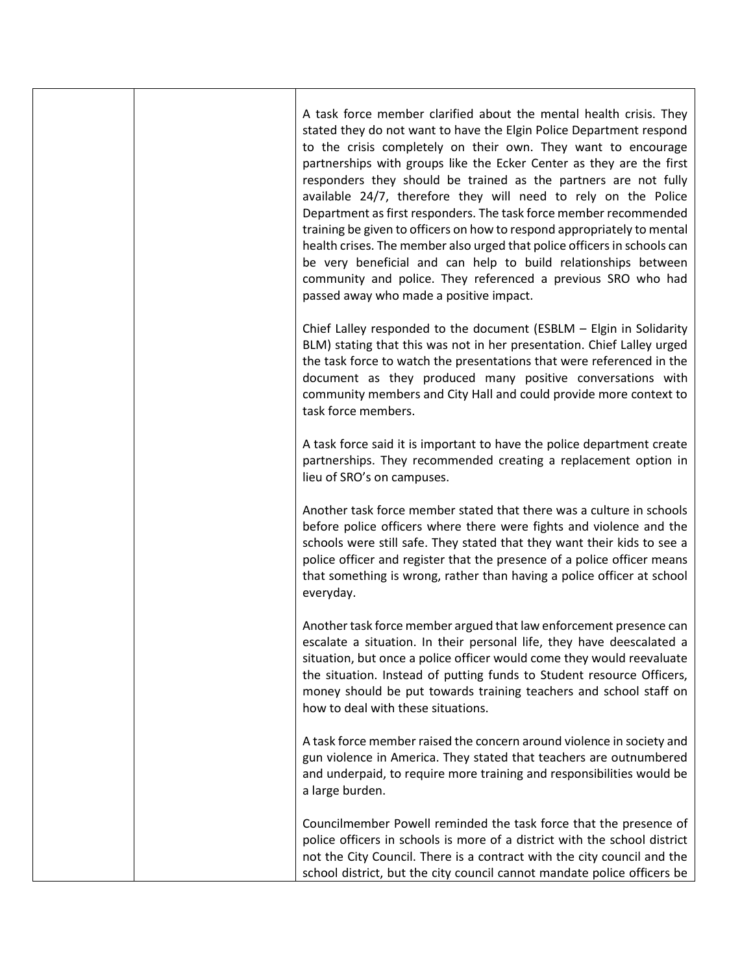|  | A task force member clarified about the mental health crisis. They<br>stated they do not want to have the Elgin Police Department respond<br>to the crisis completely on their own. They want to encourage<br>partnerships with groups like the Ecker Center as they are the first<br>responders they should be trained as the partners are not fully<br>available 24/7, therefore they will need to rely on the Police<br>Department as first responders. The task force member recommended<br>training be given to officers on how to respond appropriately to mental<br>health crises. The member also urged that police officers in schools can<br>be very beneficial and can help to build relationships between<br>community and police. They referenced a previous SRO who had<br>passed away who made a positive impact. |
|--|----------------------------------------------------------------------------------------------------------------------------------------------------------------------------------------------------------------------------------------------------------------------------------------------------------------------------------------------------------------------------------------------------------------------------------------------------------------------------------------------------------------------------------------------------------------------------------------------------------------------------------------------------------------------------------------------------------------------------------------------------------------------------------------------------------------------------------|
|  | Chief Lalley responded to the document (ESBLM - Elgin in Solidarity<br>BLM) stating that this was not in her presentation. Chief Lalley urged<br>the task force to watch the presentations that were referenced in the<br>document as they produced many positive conversations with<br>community members and City Hall and could provide more context to<br>task force members.                                                                                                                                                                                                                                                                                                                                                                                                                                                 |
|  | A task force said it is important to have the police department create<br>partnerships. They recommended creating a replacement option in<br>lieu of SRO's on campuses.                                                                                                                                                                                                                                                                                                                                                                                                                                                                                                                                                                                                                                                          |
|  | Another task force member stated that there was a culture in schools<br>before police officers where there were fights and violence and the<br>schools were still safe. They stated that they want their kids to see a<br>police officer and register that the presence of a police officer means<br>that something is wrong, rather than having a police officer at school<br>everyday.                                                                                                                                                                                                                                                                                                                                                                                                                                         |
|  | Another task force member argued that law enforcement presence can<br>escalate a situation. In their personal life, they have deescalated a<br>situation, but once a police officer would come they would reevaluate<br>the situation. Instead of putting funds to Student resource Officers,<br>money should be put towards training teachers and school staff on<br>how to deal with these situations.                                                                                                                                                                                                                                                                                                                                                                                                                         |
|  | A task force member raised the concern around violence in society and<br>gun violence in America. They stated that teachers are outnumbered<br>and underpaid, to require more training and responsibilities would be<br>a large burden.                                                                                                                                                                                                                                                                                                                                                                                                                                                                                                                                                                                          |
|  | Councilmember Powell reminded the task force that the presence of<br>police officers in schools is more of a district with the school district<br>not the City Council. There is a contract with the city council and the<br>school district, but the city council cannot mandate police officers be                                                                                                                                                                                                                                                                                                                                                                                                                                                                                                                             |